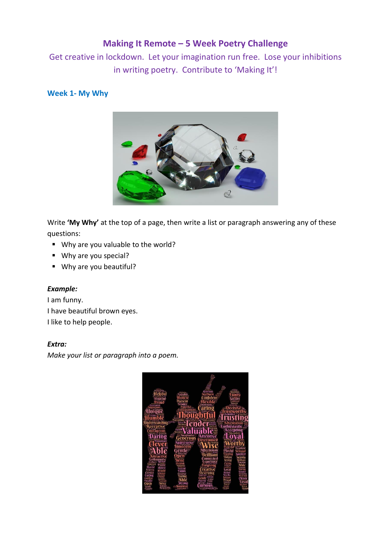Get creative in lockdown. Let your imagination run free. Lose your inhibitions in writing poetry. Contribute to 'Making It'!

## **Week 1- My Why**



Write **'My Why'** at the top of a page, then write a list or paragraph answering any of these questions:

- Why are you valuable to the world?
- Why are you special?
- Why are you beautiful?

### *Example:*

I am funny. I have beautiful brown eyes. I like to help people.

### *Extra:*

*Make your list or paragraph into a poem.*

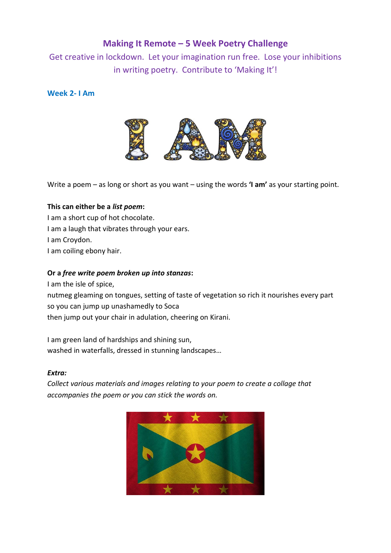Get creative in lockdown. Let your imagination run free. Lose your inhibitions in writing poetry. Contribute to 'Making It'!

**Week 2- I Am**



Write a poem – as long or short as you want – using the words **'I am'** as your starting point.

### **This can either be a** *list poem***:**

I am a short cup of hot chocolate. I am a laugh that vibrates through your ears. I am Croydon. I am coiling ebony hair.

### **Or a** *free write poem broken up into stanzas***:**

I am the isle of spice,

nutmeg gleaming on tongues, setting of taste of vegetation so rich it nourishes every part so you can jump up unashamedly to Soca

then jump out your chair in adulation, cheering on Kirani.

I am green land of hardships and shining sun, washed in waterfalls, dressed in stunning landscapes…

### *Extra:*

*Collect various materials and images relating to your poem to create a collage that accompanies the poem or you can stick the words on.*

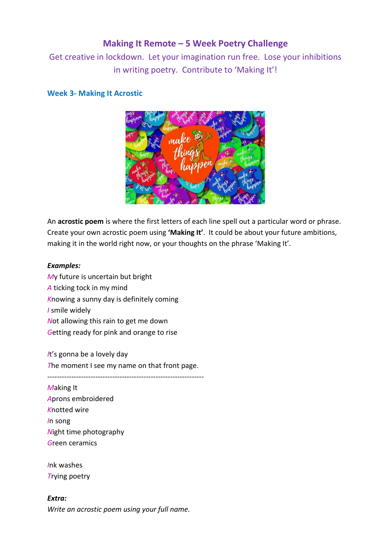Get creative in lockdown. Let your imagination run free. Lose your inhibitions in writing poetry. Contribute to 'Making It'!

### **Week 3- Making It Acrostic**



An **acrostic poem** is where the first letters of each line spell out a particular word or phrase. Create your own acrostic poem using **'Making It'**. It could be about your future ambitions, making it in the world right now, or your thoughts on the phrase 'Making It'.

### *Examples:*

*M*y future is uncertain but bright *A* ticking tock in my mind *K*nowing a sunny day is definitely coming *I* smile widely *N*ot allowing this rain to get me down *G*etting ready for pink and orange to rise

*I*t's gonna be a lovely day *T*he moment I see my name on that front page.

-----------------------------------------------------------------

*M*aking It *A*prons embroidered *K*notted wire *I*n song *N*ight time photography *G*reen ceramics

*I*nk washes *T*rying poetry

*Extra: Write an acrostic poem using your full name.*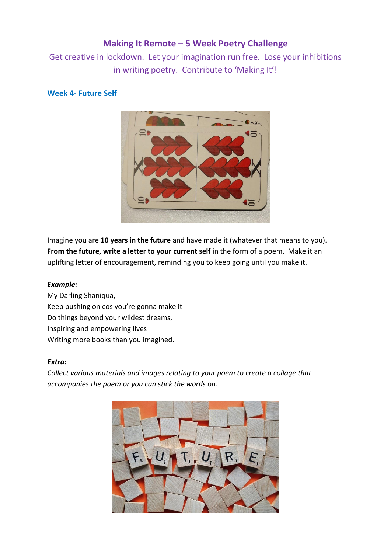Get creative in lockdown. Let your imagination run free. Lose your inhibitions in writing poetry. Contribute to 'Making It'!

## **Week 4- Future Self**



Imagine you are **10 years in the future** and have made it (whatever that means to you). **From the future, write a letter to your current self** in the form of a poem. Make it an uplifting letter of encouragement, reminding you to keep going until you make it.

### *Example:*

My Darling Shaniqua, Keep pushing on cos you're gonna make it Do things beyond your wildest dreams, Inspiring and empowering lives Writing more books than you imagined.

#### *Extra:*

*Collect various materials and images relating to your poem to create a collage that accompanies the poem or you can stick the words on.*